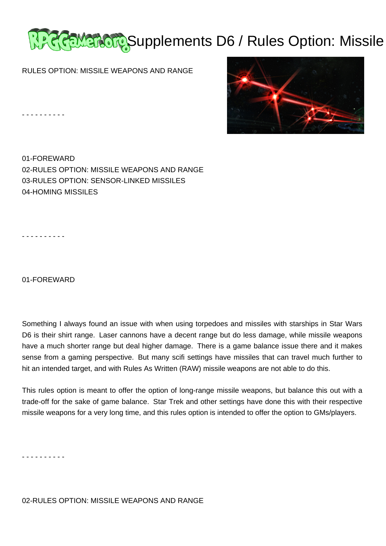

RULES OPTION: MISSILE WEAPONS AND RANGE

- - - - - - - - - -

01-FOREWARD 02-RULES OPTION: MISSILE WEAPONS AND RANGE 03-RULES OPTION: SENSOR-LINKED MISSILES 04-HOMING MISSILES

- - - - - - - - - -

01-FOREWARD

Something I always found an issue with when using torpedoes and missiles with starships in Star Wars D6 is their shirt range. Laser cannons have a decent range but do less damage, while missile weapons have a much shorter range but deal higher damage. There is a game balance issue there and it makes sense from a gaming perspective. But many scifi settings have missiles that can travel much further to hit an intended target, and with Rules As Written (RAW) missile weapons are not able to do this.

This rules option is meant to offer the option of long-range missile weapons, but balance this out with a trade-off for the sake of game balance. Star Trek and other settings have done this with their respective missile weapons for a very long time, and this rules option is intended to offer the option to GMs/players.

- - - - - - - - - -

02-RULES OPTION: MISSILE WEAPONS AND RANGE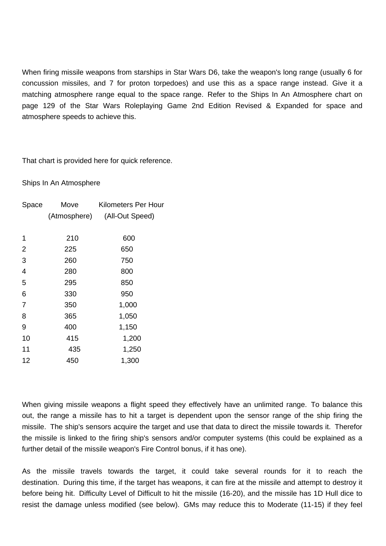When firing missile weapons from starships in Star Wars D6, take the weapon's long range (usually 6 for concussion missiles, and 7 for proton torpedoes) and use this as a space range instead. Give it a matching atmosphere range equal to the space range. Refer to the Ships In An Atmosphere chart on page 129 of the Star Wars Roleplaying Game 2nd Edition Revised & Expanded for space and atmosphere speeds to achieve this.

That chart is provided here for quick reference.

Ships In An Atmosphere

| Space          | Move         | <b>Kilometers Per Hour</b> |
|----------------|--------------|----------------------------|
|                | (Atmosphere) | (All-Out Speed)            |
|                |              |                            |
| 1              | 210          | 600                        |
| 2              | 225          | 650                        |
| 3              | 260          | 750                        |
| 4              | 280          | 800                        |
| 5              | 295          | 850                        |
| 6              | 330          | 950                        |
| $\overline{7}$ | 350          | 1,000                      |
| 8              | 365          | 1,050                      |
| 9              | 400          | 1,150                      |
| 10             | 415          | 1,200                      |
| 11             | 435          | 1,250                      |
| 12             | 450          | 1,300                      |
|                |              |                            |

When giving missile weapons a flight speed they effectively have an unlimited range. To balance this out, the range a missile has to hit a target is dependent upon the sensor range of the ship firing the missile. The ship's sensors acquire the target and use that data to direct the missile towards it. Therefor the missile is linked to the firing ship's sensors and/or computer systems (this could be explained as a further detail of the missile weapon's Fire Control bonus, if it has one).

As the missile travels towards the target, it could take several rounds for it to reach the destination. During this time, if the target has weapons, it can fire at the missile and attempt to destroy it before being hit. Difficulty Level of Difficult to hit the missile (16-20), and the missile has 1D Hull dice to resist the damage unless modified (see below). GMs may reduce this to Moderate (11-15) if they feel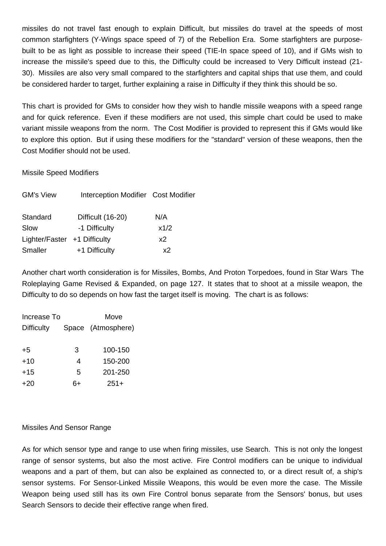missiles do not travel fast enough to explain Difficult, but missiles do travel at the speeds of most common starfighters (Y-Wings space speed of 7) of the Rebellion Era. Some starfighters are purposebuilt to be as light as possible to increase their speed (TIE-In space speed of 10), and if GMs wish to increase the missile's speed due to this, the Difficulty could be increased to Very Difficult instead (21- 30). Missiles are also very small compared to the starfighters and capital ships that use them, and could be considered harder to target, further explaining a raise in Difficulty if they think this should be so.

This chart is provided for GMs to consider how they wish to handle missile weapons with a speed range and for quick reference. Even if these modifiers are not used, this simple chart could be used to make variant missile weapons from the norm. The Cost Modifier is provided to represent this if GMs would like to explore this option. But if using these modifiers for the "standard" version of these weapons, then the Cost Modifier should not be used.

# Missile Speed Modifiers

| <b>GM's View</b>             | Interception Modifier Cost Modifier |      |
|------------------------------|-------------------------------------|------|
| Standard                     | Difficult (16-20)                   | N/A  |
| Slow                         | -1 Difficulty                       | x1/2 |
| Lighter/Faster +1 Difficulty |                                     | x2   |
| <b>Smaller</b>               | +1 Difficulty                       | х2   |

Another chart worth consideration is for Missiles, Bombs, And Proton Torpedoes, found in Star Wars The Roleplaying Game Revised & Expanded, on page 127. It states that to shoot at a missile weapon, the Difficulty to do so depends on how fast the target itself is moving. The chart is as follows:

| Increase To       | Move |                    |
|-------------------|------|--------------------|
| <b>Difficulty</b> |      | Space (Atmosphere) |
|                   |      |                    |
| $+5$              | 3    | 100-150            |
| $+10$             | 4    | 150-200            |
| $+15$             | 5    | 201-250            |
| +20               | ິ∼∔  | $251+$             |

# Missiles And Sensor Range

As for which sensor type and range to use when firing missiles, use Search. This is not only the longest range of sensor systems, but also the most active. Fire Control modifiers can be unique to individual weapons and a part of them, but can also be explained as connected to, or a direct result of, a ship's sensor systems. For Sensor-Linked Missile Weapons, this would be even more the case. The Missile Weapon being used still has its own Fire Control bonus separate from the Sensors' bonus, but uses Search Sensors to decide their effective range when fired.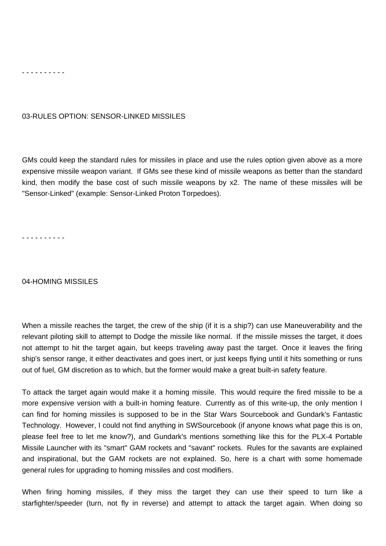#### - - - - - - - - - -

### 03-RULES OPTION: SENSOR-LINKED MISSILES

GMs could keep the standard rules for missiles in place and use the rules option given above as a more expensive missile weapon variant. If GMs see these kind of missile weapons as better than the standard kind, then modify the base cost of such missile weapons by x2. The name of these missiles will be "Sensor-Linked" (example: Sensor-Linked Proton Torpedoes).

- - - - - - - - - -

#### 04-HOMING MISSILES

When a missile reaches the target, the crew of the ship (if it is a ship?) can use Maneuverability and the relevant piloting skill to attempt to Dodge the missile like normal. If the missile misses the target, it does not attempt to hit the target again, but keeps traveling away past the target. Once it leaves the firing ship's sensor range, it either deactivates and goes inert, or just keeps flying until it hits something or runs out of fuel, GM discretion as to which, but the former would make a great built-in safety feature.

To attack the target again would make it a homing missile. This would require the fired missile to be a more expensive version with a built-in homing feature. Currently as of this write-up, the only mention I can find for homing missiles is supposed to be in the Star Wars Sourcebook and Gundark's Fantastic Technology. However, I could not find anything in SWSourcebook (if anyone knows what page this is on, please feel free to let me know?), and Gundark's mentions something like this for the PLX-4 Portable Missile Launcher with its "smart" GAM rockets and "savant" rockets. Rules for the savants are explained and inspirational, but the GAM rockets are not explained. So, here is a chart with some homemade general rules for upgrading to homing missiles and cost modifiers.

When firing homing missiles, if they miss the target they can use their speed to turn like a starfighter/speeder (turn, not fly in reverse) and attempt to attack the target again. When doing so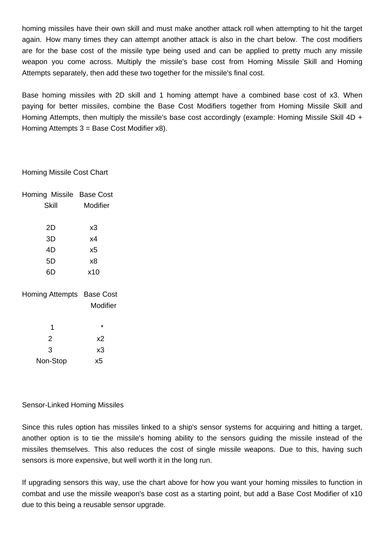homing missiles have their own skill and must make another attack roll when attempting to hit the target again. How many times they can attempt another attack is also in the chart below. The cost modifiers are for the base cost of the missile type being used and can be applied to pretty much any missile weapon you come across. Multiply the missile's base cost from Homing Missile Skill and Homing Attempts separately, then add these two together for the missile's final cost.

Base homing missiles with 2D skill and 1 homing attempt have a combined base cost of x3. When paying for better missiles, combine the Base Cost Modifiers together from Homing Missile Skill and Homing Attempts, then multiply the missile's base cost accordingly (example: Homing Missile Skill 4D + Homing Attempts 3 = Base Cost Modifier x8).

# Homing Missile Cost Chart

|    |          | Homing Missile Base Cost  |
|----|----------|---------------------------|
|    | Skill    | Modifier                  |
|    |          |                           |
|    | 2D       | x3                        |
| 3D |          | х4                        |
|    | 4D       | x5                        |
|    | 5D       | x8                        |
|    | 6D       | x10                       |
|    |          |                           |
|    |          | Homing Attempts Base Cost |
|    |          | Modifier                  |
|    |          |                           |
|    | 1        | *                         |
|    | 2        | х2                        |
|    | 3        | x3                        |
|    | Non-Stop | х5                        |

# Sensor-Linked Homing Missiles

Since this rules option has missiles linked to a ship's sensor systems for acquiring and hitting a target, another option is to tie the missile's homing ability to the sensors guiding the missile instead of the missiles themselves. This also reduces the cost of single missile weapons. Due to this, having such sensors is more expensive, but well worth it in the long run.

If upgrading sensors this way, use the chart above for how you want your homing missiles to function in combat and use the missile weapon's base cost as a starting point, but add a Base Cost Modifier of x10 due to this being a reusable sensor upgrade.